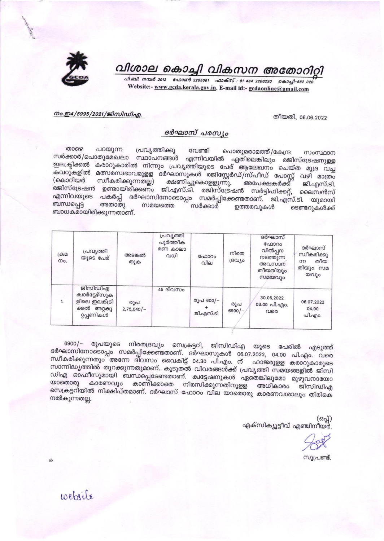

## വിശാല കൊച്ചി വികസന അതോറിറ്റി

പി.ബി. നമ്പർ 2012 - ഫോൺ 2205061 - ഫാക്സ് : 91 484 2206230 - കൊച്ചി-682 020 Website:- www.gcda.kerala.gov.in. E-mail id:- gcdaonline@gmail.com

## നം.ഇ4/5995/2021/ജിസിഡിഎ.

തീയതി, 06.06.2022

## ദർഘാസ് പരസ്യം

താഴെ പറയുന്ന പ്രവൃത്തിക്കു വേണ്ടി പൊതുമരാമത്ത്/കേന്ദ്ര സംസ്ഥാന സർക്കാർ/പൊതുമേഖലാ സ്ഥാപനങ്ങൾ എന്നിവയിൽ ഏതിലെങ്കിലും രജിസ്ട്രേഷനുള്ള കരാറുകാരിൽ നിന്നും പ്രവൃത്തിയുടെ പേര് ആലേഖനം ചെയ്ത മുദ്ര വച്ച ഇലക്രിക്കൽ കവറുകളിൽ മത്സരസ്വഭാവമുളള ദർഘാസുകൾ രജിസ്റ്റേർഡ്/സ്പീഡ് പോസ്റ്റ് വഴി മാത്രം സ്വീകരിക്കുന്നതല്ല) (കൊറിയർ ക്ഷണിച്ചുകൊളളുന്നു. അപേക്ഷകർക്ക് ജി.എസ്.ടി. രജിസ്ട്രേഷൻ ഉണ്ടായിരിക്കണ്ം ജി.എസ്.ടി. രജിസ്ട്രേഷൻ സർട്ടിഫിക്കറ്റ്, ലൈസൻസ് എന്നിവയുടെ പകർപ്പ് ദർഘാസിനോടൊപ്പം സമർപ്പിക്കേണ്ടതാണ്. ജി.എസ്.ടി. യുമായി ബന്ധപ്പെട്ട അതാതു സമയത്തെ സർക്കാർ ഉത്തരവ്വകൾ ടെണ്ടറുകൾക്ക് ബാധകമായിരിക്കുന്നതാണ്.

| $L$ சி $\Omega$<br>mo. | പ്രവ്യത്തി<br>യുടെ പേര്                                                 | അടങ്കൽ<br>തുക       | പ്രവൃത്തി<br>പൂർത്തീക<br>രണ കാലാ<br>വധി | ഫോറം<br>വില            | നിരത<br>ദ്രവീം  | ദർഘാസ്<br>ഫോറം<br>വിൽപ്പന<br>നടത്തുന്ന<br>അവസാന<br>തീയതിയും<br>സമയവും | ദർഘാസ്<br>സ്വീകരിക്കു<br>തീയ<br>m<br>തിയും സമ<br>യവും |
|------------------------|-------------------------------------------------------------------------|---------------------|-----------------------------------------|------------------------|-----------------|-----------------------------------------------------------------------|-------------------------------------------------------|
| 1.                     | ജിസിഡിഎ<br>ക്വാർട്ടേഴ്സുക<br>ളിലെ ഇലക്ട്രി<br>ക്കൽ അറ്റകൂ<br>റ്റപ്പണികൾ | രൂപ<br>$2,75,040/-$ | 45 ദിവസം                                | രൂപ 600/-<br>ജി.എസ്.ടി | രൂപ<br>$6900/-$ | 30.06.2022<br>03.00 പി.എo.<br>വരെ                                     | 06.07.2022<br>04.00<br>പി.എo.                         |

6900/– രൂപയുടെ നിരതദ്രവ്യം സെക്രട്ടറി, ജിസിഡിഎ യുടെ പേരിൽ എടുത്ത് ദർഘാസിനോടൊപ്പം സമർപ്പിക്കേണ്ടതാണ്. ദർഘാസുകൾ 06.07.2022, 04.00 പി.എം. വരെ സ്ഥീകരിക്കുന്നതും അന്നേ ദിവസം വൈകിട്ട് 04.30 പി.എം. ന് ഹാജരുളള കരാറുകാരുടെ സാന്നിദ്ധ്യത്തിൽ തുറക്കുന്നതുമാണ്. കൂടുതൽ വിവരങ്ങൾക്ക് പ്രവൃത്തി സമയങ്ങളിൽ ജിസി ഡിഎ ഓഫീസുമായി ബന്ധപ്പെടേണ്ടതാണ്. ക്വട്ടേഷനുകൾ ഏതെങ്കിലുമോ മുഴുവനായോ യാതൊരു കാരണവും കാണിക്കാതെ നിരസിക്കുന്നതിനുളള അധികാരം ജിസിഡിഎ സെക്രട്ടറിയിൽ നിക്ഷിപ്തമാണ്. ദർഘാസ് ഫോറം വില യാതൊരു കാരണവശാലും തിരികെ നൽകുന്നതല്ല.

> (ഒപ്പ്) എക്സിക്യൂട്ടീവ് എഞ്ചിനീയർ.

സൂപ്രണ്ട്.

website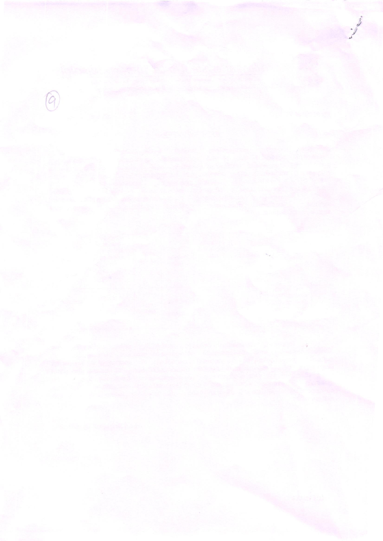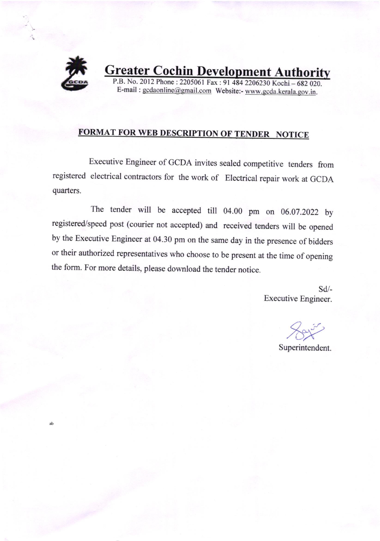

**Greater Cochin Development Authority** 

P.B. No. 2012 Phone : 2205061 Fax : 91 484 2206230 Kochi - 682 020. E-mail : ecdaonline@gmail.com Website:- www. gcda.kerala. qov.rn.

## FORMAT FOR WEB DESCRIPTION OF TENDER NOTICE

Executive Engineer of GCDA invites sealed competitive tenders from registered electrical contractors for the work of Electrical repair work at GCDA quarters.

The tender will be accepted till 04.00 pm on 06.07.2022 by registered/speed post (courier not accepted) and received tenders will be opened by the Executive Engineer at 04.30 pm on the same day in the presence of bidders or their authorized representatives who choose to be present at the time of opening the form. For more details, please download the tender notice.

> sd/- Executive Engineer.

Superintendent.